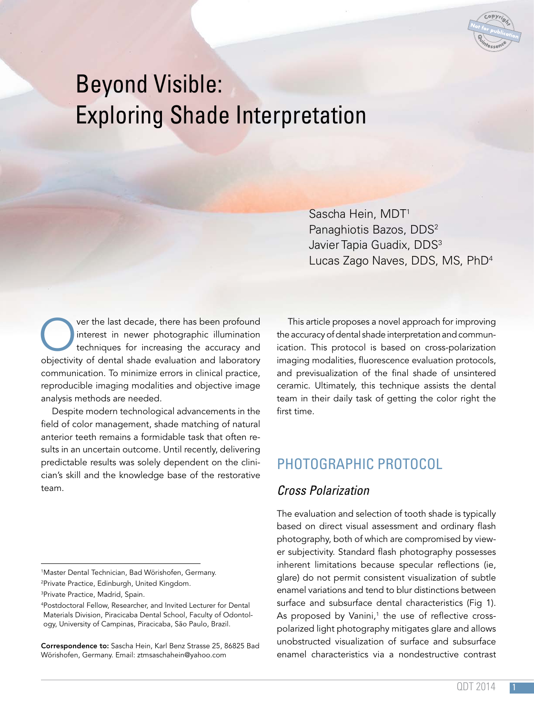

# Beyond Visible: Exploring Shade Interpretation

Sascha Hein, MDT1 Panaghiotis Bazos, DDS2 Javier Tapia Guadix, DDS<sup>3</sup> Lucas Zago Naves, DDS, MS, PhD4

Over the last decade, there has been profound<br>interest in newer photographic illumination<br>techniques for increasing the accuracy and<br>objectivity of dental shade evaluation and laboratory interest in newer photographic illumination techniques for increasing the accuracy and objectivity of dental shade evaluation and laboratory communication. To minimize errors in clinical practice, reproducible imaging modalities and objective image analysis methods are needed.

Despite modern technological advancements in the field of color management, shade matching of natural anterior teeth remains a formidable task that often results in an uncertain outcome. Until recently, delivering predictable results was solely dependent on the clinician's skill and the knowledge base of the restorative team.

This article proposes a novel approach for improving the accuracy of dental shade interpretation and communication. This protocol is based on cross-polarization imaging modalities, fluorescence evaluation protocols, and previsualization of the final shade of unsintered ceramic. Ultimately, this technique assists the dental team in their daily task of getting the color right the first time.

# PHOTOGRAPHIC PROTOCOL

#### *Cross Polarization*

The evaluation and selection of tooth shade is typically based on direct visual assessment and ordinary flash photography, both of which are compromised by viewer subjectivity. Standard flash photography possesses inherent limitations because specular reflections (ie, glare) do not permit consistent visualization of subtle enamel variations and tend to blur distinctions between surface and subsurface dental characteristics (Fig 1). As proposed by Vanini,<sup>1</sup> the use of reflective crosspolarized light photography mitigates glare and allows unobstructed visualization of surface and subsurface enamel characteristics via a nondestructive contrast

<sup>1</sup> Master Dental Technician, Bad Wörishofen, Germany.

<sup>2</sup> Private Practice, Edinburgh, United Kingdom.

<sup>3</sup> Private Practice, Madrid, Spain.

<sup>4</sup> Postdoctoral Fellow, Researcher, and Invited Lecturer for Dental Materials Division, Piracicaba Dental School, Faculty of Odontology, University of Campinas, Piracicaba, São Paulo, Brazil.

Correspondence to: Sascha Hein, Karl Benz Strasse 25, 86825 Bad Wörishofen, Germany. Email: ztmsaschahein@yahoo.com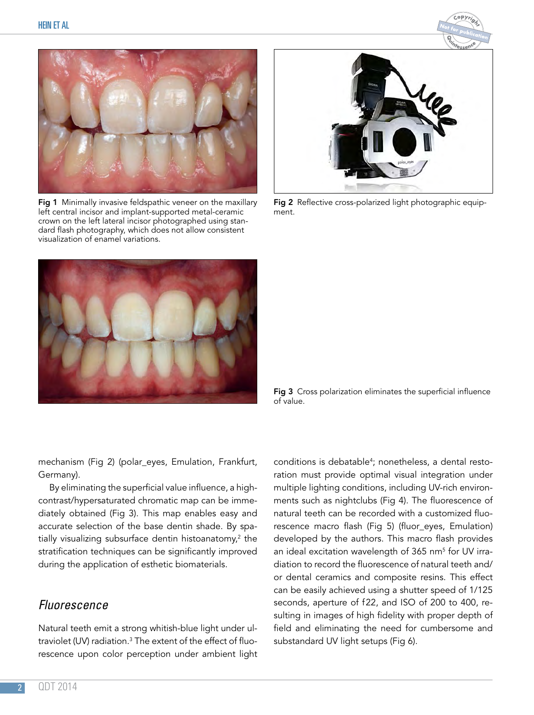



Fig 1 Minimally invasive feldspathic veneer on the maxillary left central incisor and implant-supported metal-ceramic crown on the left lateral incisor photographed using standard flash photography, which does not allow consistent visualization of enamel variations.



Fig 2 Reflective cross-polarized light photographic equipment.



Fig 3 Cross polarization eliminates the superficial influence of value.

mechanism (Fig 2) (polar\_eyes, Emulation, Frankfurt, Germany).

By eliminating the superficial value influence, a highcontrast/hypersaturated chromatic map can be immediately obtained (Fig 3). This map enables easy and accurate selection of the base dentin shade. By spatially visualizing subsurface dentin histoanatomy,<sup>2</sup> the stratification techniques can be significantly improved during the application of esthetic biomaterials.

### *Fluorescence*

Natural teeth emit a strong whitish-blue light under ultraviolet (UV) radiation.3 The extent of the effect of fluorescence upon color perception under ambient light conditions is debatable<sup>4</sup>; nonetheless, a dental restoration must provide optimal visual integration under multiple lighting conditions, including UV-rich environments such as nightclubs (Fig 4). The fluorescence of natural teeth can be recorded with a customized fluorescence macro flash (Fig 5) (fluor\_eyes, Emulation) developed by the authors. This macro flash provides an ideal excitation wavelength of 365 nm<sup>5</sup> for UV irradiation to record the fluorescence of natural teeth and/ or dental ceramics and composite resins. This effect can be easily achieved using a shutter speed of 1/125 seconds, aperture of f22, and ISO of 200 to 400, resulting in images of high fidelity with proper depth of field and eliminating the need for cumbersome and substandard UV light setups (Fig 6).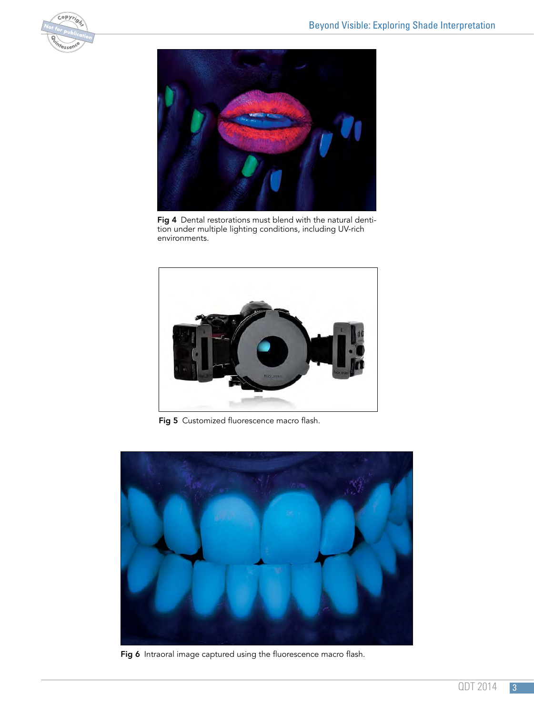



Fig 4 Dental restorations must blend with the natural dentition under multiple lighting conditions, including UV-rich environments.



Fig 5 Customized fluorescence macro flash.



Fig 6 Intraoral image captured using the fluorescence macro flash.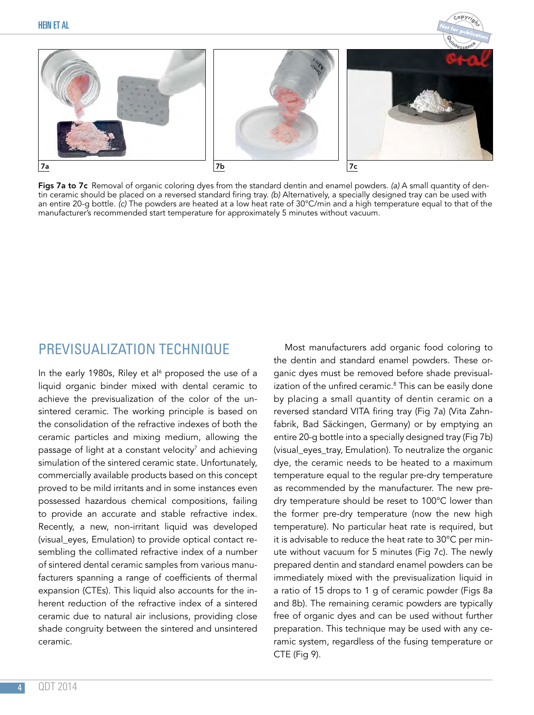

Figs 7a to 7c Removal of organic coloring dyes from the standard dentin and enamel powders. *(a)* A small quantity of dentin ceramic should be placed on a reversed standard firing tray. *(b)* Alternatively, a specially designed tray can be used with an entire 20-g bottle. *(c)* The powders are heated at a low heat rate of 30°C/min and a high temperature equal to that of the manufacturer's recommended start temperature for approximately 5 minutes without vacuum.

## PREVISUALIZATION TECHNIQUE

In the early 1980s, Riley et al<sup>6</sup> proposed the use of a liquid organic binder mixed with dental ceramic to achieve the previsualization of the color of the unsintered ceramic. The working principle is based on the consolidation of the refractive indexes of both the ceramic particles and mixing medium, allowing the passage of light at a constant velocity $^7$  and achieving simulation of the sintered ceramic state. Unfortunately, commercially available products based on this concept proved to be mild irritants and in some instances even possessed hazardous chemical compositions, failing to provide an accurate and stable refractive index. Recently, a new, non-irritant liquid was developed (visual\_eyes, Emulation) to provide optical contact resembling the collimated refractive index of a number of sintered dental ceramic samples from various manufacturers spanning a range of coefficients of thermal expansion (CTEs). This liquid also accounts for the inherent reduction of the refractive index of a sintered ceramic due to natural air inclusions, providing close shade congruity between the sintered and unsintered ceramic.

Most manufacturers add organic food coloring to the dentin and standard enamel powders. These organic dyes must be removed before shade previsualization of the unfired ceramic.<sup>8</sup> This can be easily done by placing a small quantity of dentin ceramic on a reversed standard VITA firing tray (Fig 7a) (Vita Zahnfabrik, Bad Säckingen, Germany) or by emptying an entire 20-g bottle into a specially designed tray (Fig 7b) (visual eyes tray, Emulation). To neutralize the organic dye, the ceramic needs to be heated to a maximum temperature equal to the regular pre-dry temperature as recommended by the manufacturer. The new predry temperature should be reset to 100°C lower than the former pre-dry temperature (now the new high temperature). No particular heat rate is required, but it is advisable to reduce the heat rate to 30°C per minute without vacuum for 5 minutes (Fig 7c). The newly prepared dentin and standard enamel powders can be immediately mixed with the previsualization liquid in a ratio of 15 drops to 1 g of ceramic powder (Figs 8a and 8b). The remaining ceramic powders are typically free of organic dyes and can be used without further preparation. This technique may be used with any ceramic system, regardless of the fusing temperature or CTE (Fig 9).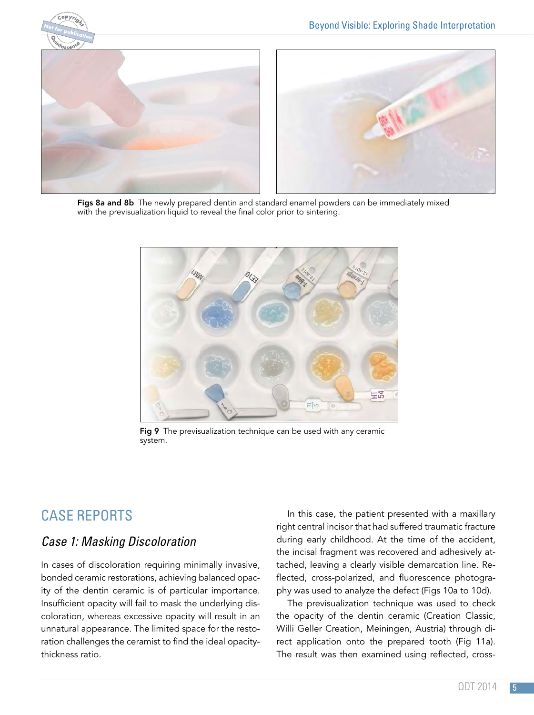



Figs 8a and 8b The newly prepared dentin and standard enamel powders can be immediately mixed with the previsualization liquid to reveal the final color prior to sintering.



Fig 9 The previsualization technique can be used with any ceramic system.

# CASE REPORTS

### *Case 1: Masking Discoloration*

In cases of discoloration requiring minimally invasive, bonded ceramic restorations, achieving balanced opacity of the dentin ceramic is of particular importance. Insufficient opacity will fail to mask the underlying discoloration, whereas excessive opacity will result in an unnatural appearance. The limited space for the restoration challenges the ceramist to find the ideal opacitythickness ratio.

In this case, the patient presented with a maxillary right central incisor that had suffered traumatic fracture during early childhood. At the time of the accident, the incisal fragment was recovered and adhesively attached, leaving a clearly visible demarcation line. Reflected, cross-polarized, and fluorescence photography was used to analyze the defect (Figs 10a to 10d).

The previsualization technique was used to check the opacity of the dentin ceramic (Creation Classic, Willi Geller Creation, Meiningen, Austria) through direct application onto the prepared tooth (Fig 11a). The result was then examined using reflected, cross-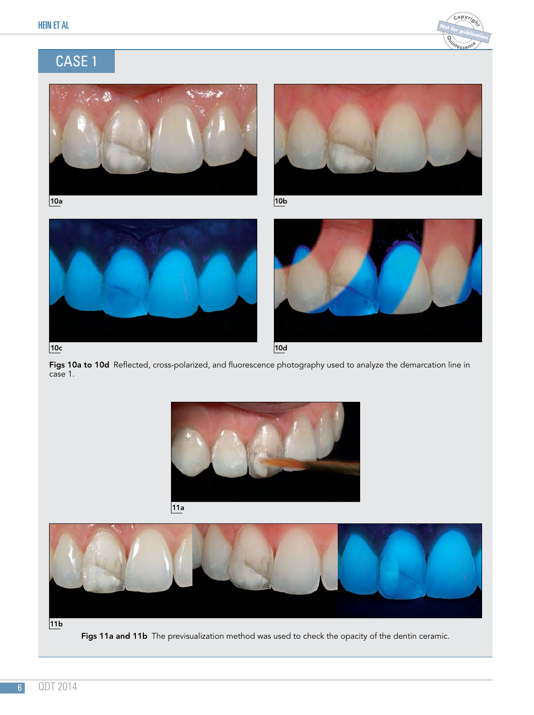

# CASE 1









Figs 10a to 10d Reflected, cross-polarized, and fluorescence photography used to analyze the demarcation line in case 1.







Figs 11a and 11b The previsualization method was used to check the opacity of the dentin ceramic.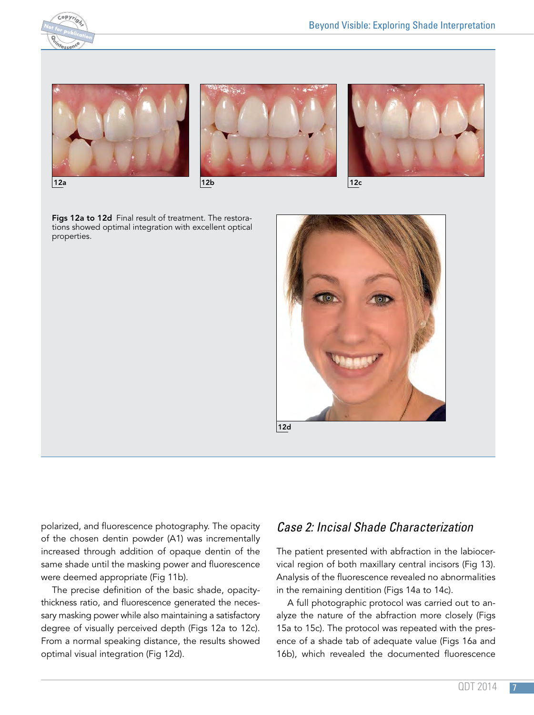

Ī







Figs 12a to 12d Final result of treatment. The restorations showed optimal integration with excellent optical properties.



polarized, and fluorescence photography. The opacity of the chosen dentin powder (A1) was incrementally increased through addition of opaque dentin of the same shade until the masking power and fluorescence were deemed appropriate (Fig 11b).

The precise definition of the basic shade, opacitythickness ratio, and fluorescence generated the necessary masking power while also maintaining a satisfactory degree of visually perceived depth (Figs 12a to 12c). From a normal speaking distance, the results showed optimal visual integration (Fig 12d).

### *Case 2: Incisal Shade Characterization*

The patient presented with abfraction in the labiocervical region of both maxillary central incisors (Fig 13). Analysis of the fluorescence revealed no abnormalities in the remaining dentition (Figs 14a to 14c).

A full photographic protocol was carried out to analyze the nature of the abfraction more closely (Figs 15a to 15c). The protocol was repeated with the presence of a shade tab of adequate value (Figs 16a and 16b), which revealed the documented fluorescence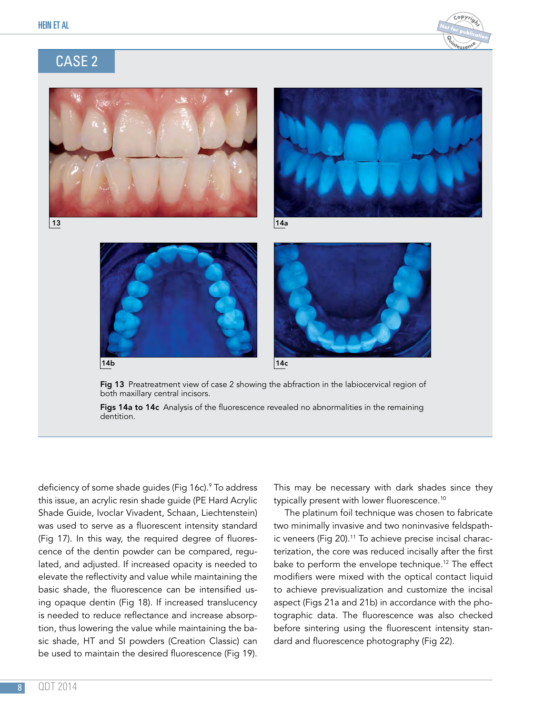











Fig 13 Preatreatment view of case 2 showing the abfraction in the labiocervical region of both maxillary central incisors.

Figs 14a to 14c Analysis of the fluorescence revealed no abnormalities in the remaining dentition.

deficiency of some shade guides (Fig 16c).9 To address this issue, an acrylic resin shade guide (PE Hard Acrylic Shade Guide, Ivoclar Vivadent, Schaan, Liechtenstein) was used to serve as a fluorescent intensity standard (Fig 17). In this way, the required degree of fluorescence of the dentin powder can be compared, regulated, and adjusted. If increased opacity is needed to elevate the reflectivity and value while maintaining the basic shade, the fluorescence can be intensified using opaque dentin (Fig 18). If increased translucency is needed to reduce reflectance and increase absorption, thus lowering the value while maintaining the basic shade, HT and SI powders (Creation Classic) can be used to maintain the desired fluorescence (Fig 19).

This may be necessary with dark shades since they typically present with lower fluorescence.<sup>10</sup>

The platinum foil technique was chosen to fabricate two minimally invasive and two noninvasive feldspathic veneers (Fig 20).<sup>11</sup> To achieve precise incisal characterization, the core was reduced incisally after the first bake to perform the envelope technique.<sup>12</sup> The effect modifiers were mixed with the optical contact liquid to achieve previsualization and customize the incisal aspect (Figs 21a and 21b) in accordance with the photographic data. The fluorescence was also checked before sintering using the fluorescent intensity standard and fluorescence photography (Fig 22).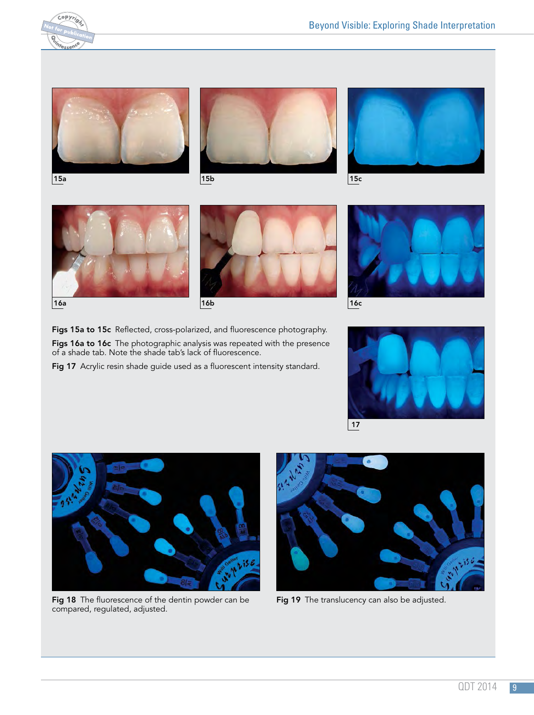

Ī





15a 1910 - 1910 - 1910 - 1910 - 1910 - 1910 - 1910 - 1910 - 1910 - 1910 - 1910 - 1910 - 1910 - 1910 - 1910 - 1









Figs 15a to 15c Reflected, cross-polarized, and fluorescence photography. Figs 16a to 16c The photographic analysis was repeated with the presence of a shade tab. Note the shade tab's lack of fluorescence.

Fig 17 Acrylic resin shade guide used as a fluorescent intensity standard.







Fig 18 The fluorescence of the dentin powder can be compared, regulated, adjusted.



Fig 19 The translucency can also be adjusted.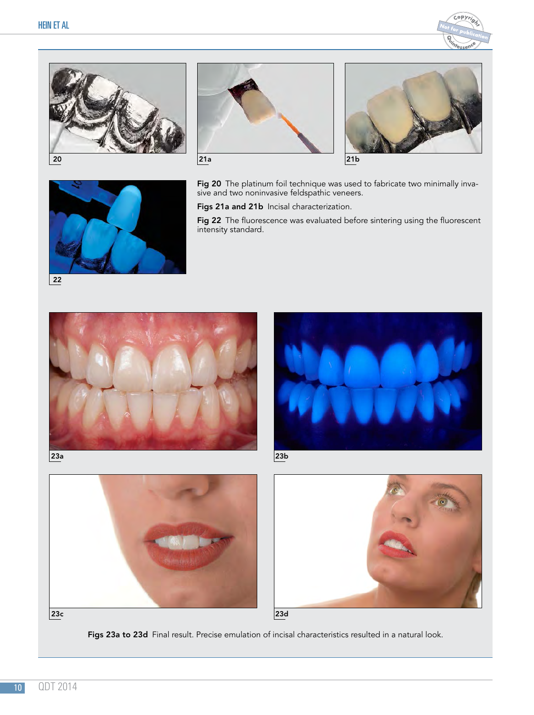Ī











Fig 20 The platinum foil technique was used to fabricate two minimally invasive and two noninvasive feldspathic veneers.

Figs 21a and 21b Incisal characterization.

Fig 22 The fluorescence was evaluated before sintering using the fluorescent intensity standard.













Figs 23a to 23d Final result. Precise emulation of incisal characteristics resulted in a natural look.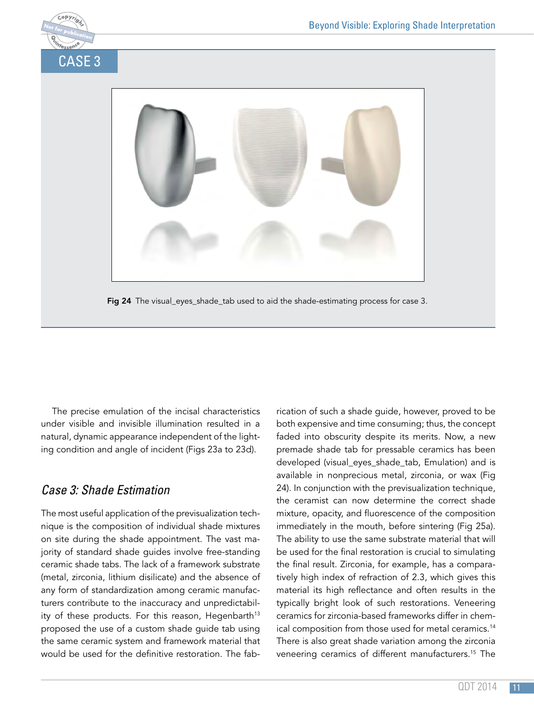

Fig 24 The visual\_eyes\_shade\_tab used to aid the shade-estimating process for case 3.

The precise emulation of the incisal characteristics under visible and invisible illumination resulted in a natural, dynamic appearance independent of the lighting condition and angle of incident (Figs 23a to 23d).

### *Case 3: Shade Estimation*

The most useful application of the previsualization technique is the composition of individual shade mixtures on site during the shade appointment. The vast majority of standard shade guides involve free-standing ceramic shade tabs. The lack of a framework substrate (metal, zirconia, lithium disilicate) and the absence of any form of standardization among ceramic manufacturers contribute to the inaccuracy and unpredictability of these products. For this reason, Hegenbarth<sup>13</sup> proposed the use of a custom shade guide tab using the same ceramic system and framework material that would be used for the definitive restoration. The fab-

rication of such a shade guide, however, proved to be both expensive and time consuming; thus, the concept faded into obscurity despite its merits. Now, a new premade shade tab for pressable ceramics has been developed (visual\_eyes\_shade\_tab, Emulation) and is available in nonprecious metal, zirconia, or wax (Fig 24). In conjunction with the previsualization technique, the ceramist can now determine the correct shade mixture, opacity, and fluorescence of the composition immediately in the mouth, before sintering (Fig 25a). The ability to use the same substrate material that will be used for the final restoration is crucial to simulating the final result. Zirconia, for example, has a comparatively high index of refraction of 2.3, which gives this material its high reflectance and often results in the typically bright look of such restorations. Veneering ceramics for zirconia-based frameworks differ in chemical composition from those used for metal ceramics.<sup>14</sup> There is also great shade variation among the zirconia veneering ceramics of different manufacturers.15 The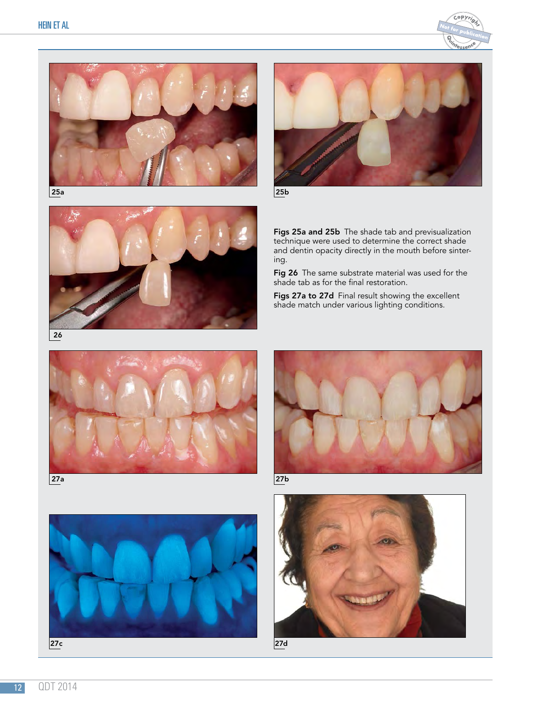





25b



Figs 25a and 25b The shade tab and previsualization technique were used to determine the correct shade and dentin opacity directly in the mouth before sintering.

Fig 26 The same substrate material was used for the shade tab as for the final restoration.

Figs 27a to 27d Final result showing the excellent shade match under various lighting conditions.





27a 27b



27c





27d